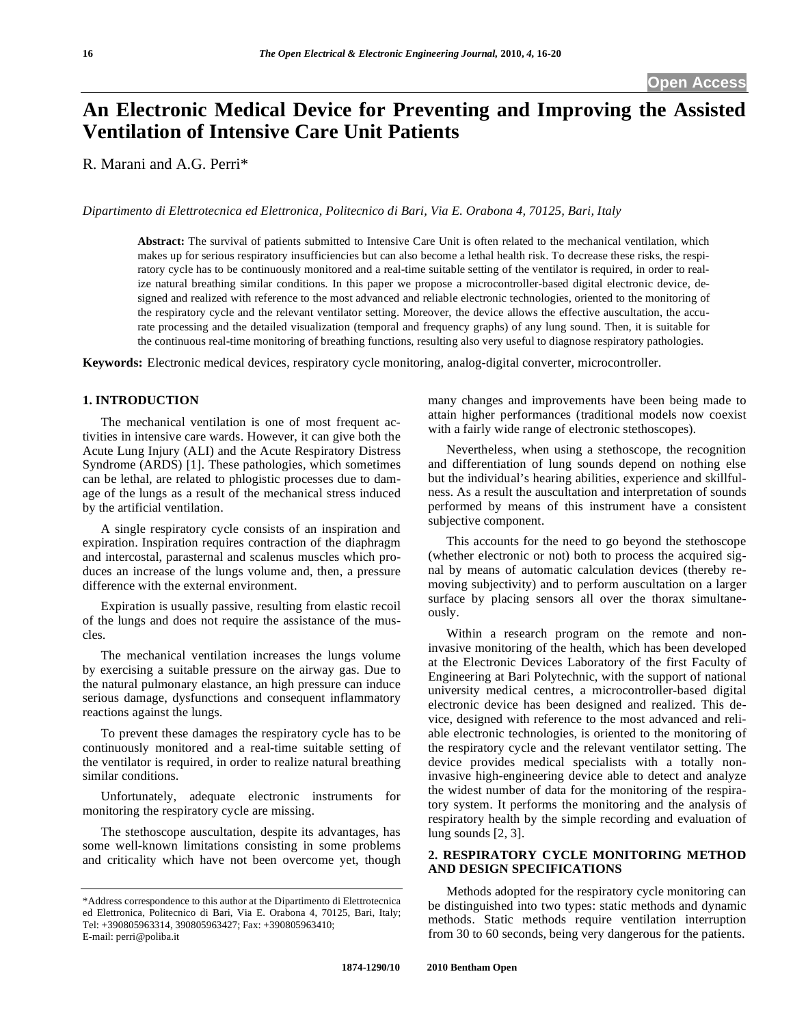# **An Electronic Medical Device for Preventing and Improving the Assisted Ventilation of Intensive Care Unit Patients**

R. Marani and A.G. Perri\*

*Dipartimento di Elettrotecnica ed Elettronica, Politecnico di Bari, Via E. Orabona 4, 70125, Bari, Italy* 

**Abstract:** The survival of patients submitted to Intensive Care Unit is often related to the mechanical ventilation, which makes up for serious respiratory insufficiencies but can also become a lethal health risk. To decrease these risks, the respiratory cycle has to be continuously monitored and a real-time suitable setting of the ventilator is required, in order to realize natural breathing similar conditions*.* In this paper we propose a microcontroller-based digital electronic device, designed and realized with reference to the most advanced and reliable electronic technologies, oriented to the monitoring of the respiratory cycle and the relevant ventilator setting. Moreover, the device allows the effective auscultation, the accurate processing and the detailed visualization (temporal and frequency graphs) of any lung sound. Then, it is suitable for the continuous real-time monitoring of breathing functions, resulting also very useful to diagnose respiratory pathologies.

**Keywords:** Electronic medical devices, respiratory cycle monitoring, analog-digital converter, microcontroller.

## **1. INTRODUCTION**

 The mechanical ventilation is one of most frequent activities in intensive care wards. However, it can give both the Acute Lung Injury (ALI) and the Acute Respiratory Distress Syndrome (ARDS) [1]. These pathologies, which sometimes can be lethal, are related to phlogistic processes due to damage of the lungs as a result of the mechanical stress induced by the artificial ventilation.

 A single respiratory cycle consists of an inspiration and expiration. Inspiration requires contraction of the diaphragm and intercostal, parasternal and scalenus muscles which produces an increase of the lungs volume and, then, a pressure difference with the external environment.

 Expiration is usually passive, resulting from elastic recoil of the lungs and does not require the assistance of the muscles.

 The mechanical ventilation increases the lungs volume by exercising a suitable pressure on the airway gas. Due to the natural pulmonary elastance, an high pressure can induce serious damage, dysfunctions and consequent inflammatory reactions against the lungs.

 To prevent these damages the respiratory cycle has to be continuously monitored and a real-time suitable setting of the ventilator is required, in order to realize natural breathing similar conditions.

 Unfortunately, adequate electronic instruments for monitoring the respiratory cycle are missing.

 The stethoscope auscultation, despite its advantages, has some well-known limitations consisting in some problems and criticality which have not been overcome yet, though many changes and improvements have been being made to attain higher performances (traditional models now coexist with a fairly wide range of electronic stethoscopes).

 Nevertheless, when using a stethoscope, the recognition and differentiation of lung sounds depend on nothing else but the individual's hearing abilities, experience and skillfulness. As a result the auscultation and interpretation of sounds performed by means of this instrument have a consistent subjective component.

 This accounts for the need to go beyond the stethoscope (whether electronic or not) both to process the acquired signal by means of automatic calculation devices (thereby removing subjectivity) and to perform auscultation on a larger surface by placing sensors all over the thorax simultaneously.

 Within a research program on the remote and noninvasive monitoring of the health, which has been developed at the Electronic Devices Laboratory of the first Faculty of Engineering at Bari Polytechnic, with the support of national university medical centres, a microcontroller-based digital electronic device has been designed and realized. This device, designed with reference to the most advanced and reliable electronic technologies, is oriented to the monitoring of the respiratory cycle and the relevant ventilator setting. The device provides medical specialists with a totally noninvasive high-engineering device able to detect and analyze the widest number of data for the monitoring of the respiratory system. It performs the monitoring and the analysis of respiratory health by the simple recording and evaluation of lung sounds [2, 3].

## **2. RESPIRATORY CYCLE MONITORING METHOD AND DESIGN SPECIFICATIONS**

 Methods adopted for the respiratory cycle monitoring can be distinguished into two types: static methods and dynamic methods. Static methods require ventilation interruption from 30 to 60 seconds, being very dangerous for the patients.

<sup>\*</sup>Address correspondence to this author at the Dipartimento di Elettrotecnica ed Elettronica, Politecnico di Bari, Via E. Orabona 4, 70125, Bari, Italy; Tel: +390805963314, 390805963427; Fax: +390805963410; E-mail: perri@poliba.it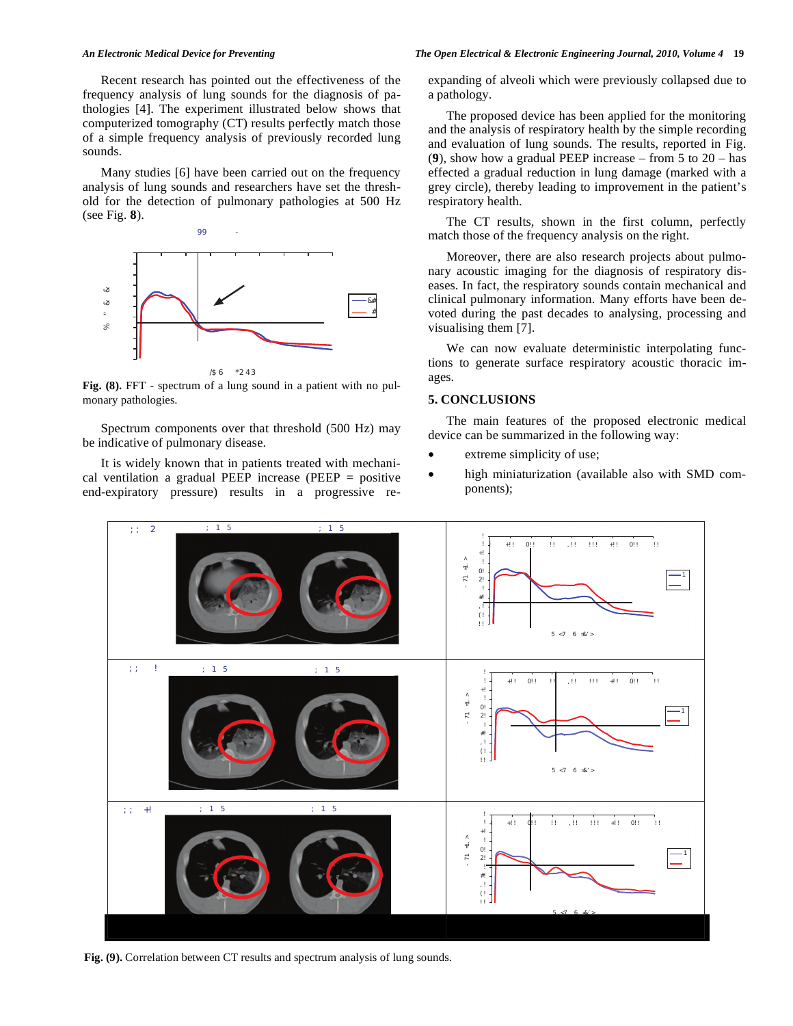Recent research has pointed out the effectiveness of the frequency analysis of lung sounds for the diagnosis of pathologies [4]. The experiment illustrated below shows that computerized tomography (CT) results perfectly match those of a simple frequency analysis of previously recorded lung sounds.

 Many studies [6] have been carried out on the frequency analysis of lung sounds and researchers have set the threshold for the detection of pulmonary pathologies at 500 Hz (see Fig. **8**).



/\$6\*2
43

**Fig. (8).** FFT - spectrum of a lung sound in a patient with no pulmonary pathologies.

 Spectrum components over that threshold (500 Hz) may be indicative of pulmonary disease.

 It is widely known that in patients treated with mechanical ventilation a gradual PEEP increase (PEEP = positive end-expiratory pressure) results in a progressive re-

#### *An Electronic Medical Device for Preventing The Open Electrical & Electronic Engineering Journal, 2010, Volume 4* **19**

expanding of alveoli which were previously collapsed due to a pathology.

 The proposed device has been applied for the monitoring and the analysis of respiratory health by the simple recording and evaluation of lung sounds. The results, reported in Fig. (**9**), show how a gradual PEEP increase – from 5 to 20 – has effected a gradual reduction in lung damage (marked with a grey circle), thereby leading to improvement in the patient's respiratory health.

 The CT results, shown in the first column, perfectly match those of the frequency analysis on the right.

 Moreover, there are also research projects about pulmonary acoustic imaging for the diagnosis of respiratory diseases. In fact, the respiratory sounds contain mechanical and clinical pulmonary information. Many efforts have been devoted during the past decades to analysing, processing and visualising them [7].

 We can now evaluate deterministic interpolating functions to generate surface respiratory acoustic thoracic images.

## **5. CONCLUSIONS**

 The main features of the proposed electronic medical device can be summarized in the following way:

- extreme simplicity of use;
- high miniaturization (available also with SMD components);